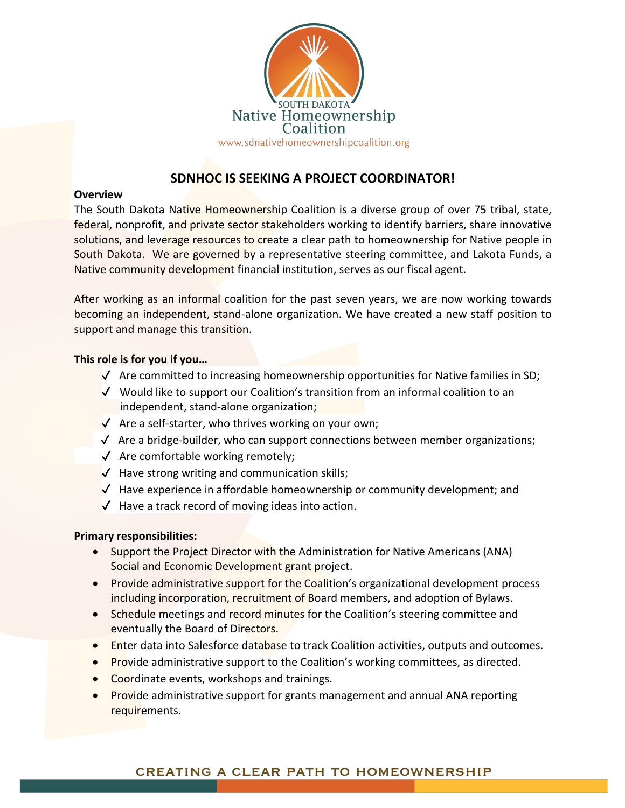

# **SDNHOC IS SEEKING A PROJECT COORDINATOR!**

#### **Overview**

The South Dakota Native Homeownership Coalition is a diverse group of over 75 tribal, state, federal, nonprofit, and private sector stakeholders working to identify barriers, share innovative solutions, and leverage resources to create a clear path to homeownership for Native people in South Dakota. We are governed by a representative steering committee, and Lakota Funds, a Native community development financial institution, serves as our fiscal agent.

After working as an informal coalition for the past seven years, we are now working towards becoming an independent, stand-alone organization. We have created a new staff position to support and manage this transition.

### **This role is for you if you…**

- $\sqrt{ }$  Are committed to increasing homeownership opportunities for Native families in SD;
- ✓ Would like to support our Coalition's transition from an informal coalition to an independent, stand-alone organization;
- ✓Are a self-starter, who thrives working on your own;
- ✓Are a bridge-builder, who can support connections between member organizations;
- ✓Are comfortable working remotely;
- $\sqrt{\phantom{a}}$  Have strong writing and communication skills;
- ✓ Have experience in affordable homeownership or community development; and
- $\sqrt{ }$  Have a track record of moving ideas into action.

## **Primary responsibilities:**

- Support the Project Director with the Administration for Native Americans (ANA) Social and Economic Development grant project.
- Provide administrative support for the Coalition's organizational development process including incorporation, recruitment of Board members, and adoption of Bylaws.
- Schedule meetings and record minutes for the Coalition's steering committee and eventually the Board of Directors.
- Enter data into Salesforce database to track Coalition activities, outputs and outcomes.
- Provide administrative support to the Coalition's working committees, as directed.
- Coordinate events, workshops and trainings.
- Provide administrative support for grants management and annual ANA reporting requirements.

## **CREATING A CLEAR PATH TO HOMEOWNERSHIP**